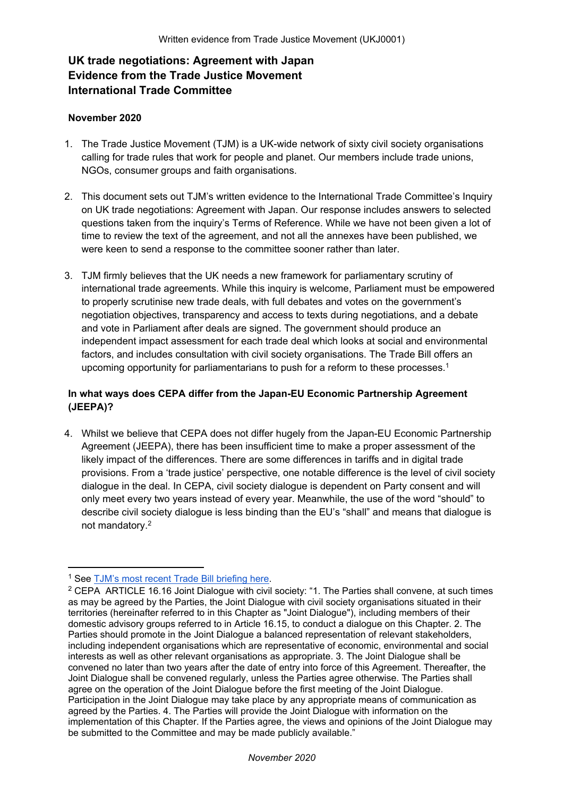# **UK trade negotiations: Agreement with Japan Evidence from the Trade Justice Movement International Trade Committee**

## **November 2020**

- 1. The Trade Justice Movement (TJM) is a UK-wide network of sixty civil society organisations calling for trade rules that work for people and planet. Our members include trade unions, NGOs, consumer groups and faith organisations.
- 2. This document sets out TJM's written evidence to the International Trade Committee's Inquiry on UK trade negotiations: Agreement with Japan. Our response includes answers to selected questions taken from the inquiry's Terms of Reference. While we have not been given a lot of time to review the text of the agreement, and not all the annexes have been published, we were keen to send a response to the committee sooner rather than later.
- 3. TJM firmly believes that the UK needs a new framework for parliamentary scrutiny of international trade agreements. While this inquiry is welcome, Parliament must be empowered to properly scrutinise new trade deals, with full debates and votes on the government's negotiation objectives, transparency and access to texts during negotiations, and a debate and vote in Parliament after deals are signed. The government should produce an independent impact assessment for each trade deal which looks at social and environmental factors, and includes consultation with civil society organisations. The Trade Bill offers an upcoming opportunity for parliamentarians to push for a reform to these processes.<sup>1</sup>

# **In what ways does CEPA differ from the Japan-EU Economic Partnership Agreement (JEEPA)?**

4. Whilst we believe that CEPA does not differ hugely from the Japan-EU Economic Partnership Agreement (JEEPA), there has been insufficient time to make a proper assessment of the likely impact of the differences. There are some differences in tariffs and in digital trade provisions. From a 'trade justice' perspective, one notable difference is the level of civil society dialogue in the deal. In CEPA, civil society dialogue is dependent on Party consent and will only meet every two years instead of every year. Meanwhile, the use of the word "should" to describe civil society dialogue is less binding than the EU's "shall" and means that dialogue is not mandatory.<sup>2</sup>

<sup>1</sup> See [TJM's](https://docs.google.com/document/d/1-1loxl-K2wtC2zHN86lMpDgcCplaOZEpU94-aB3QFyU/edit?usp=sharing) [most](https://docs.google.com/document/d/1-1loxl-K2wtC2zHN86lMpDgcCplaOZEpU94-aB3QFyU/edit?usp=sharing) [recent](https://docs.google.com/document/d/1-1loxl-K2wtC2zHN86lMpDgcCplaOZEpU94-aB3QFyU/edit?usp=sharing) [Trade](https://docs.google.com/document/d/1-1loxl-K2wtC2zHN86lMpDgcCplaOZEpU94-aB3QFyU/edit?usp=sharing) [Bill](https://docs.google.com/document/d/1-1loxl-K2wtC2zHN86lMpDgcCplaOZEpU94-aB3QFyU/edit?usp=sharing) [briefing](https://docs.google.com/document/d/1-1loxl-K2wtC2zHN86lMpDgcCplaOZEpU94-aB3QFyU/edit?usp=sharing) [here](https://docs.google.com/document/d/1-1loxl-K2wtC2zHN86lMpDgcCplaOZEpU94-aB3QFyU/edit?usp=sharing).

<sup>2</sup> CEPA ARTICLE 16.16 Joint Dialogue with civil society: "1. The Parties shall convene, at such times as may be agreed by the Parties, the Joint Dialogue with civil society organisations situated in their territories (hereinafter referred to in this Chapter as "Joint Dialogue"), including members of their domestic advisory groups referred to in Article 16.15, to conduct a dialogue on this Chapter. 2. The Parties should promote in the Joint Dialogue a balanced representation of relevant stakeholders, including independent organisations which are representative of economic, environmental and social interests as well as other relevant organisations as appropriate. 3. The Joint Dialogue shall be convened no later than two years after the date of entry into force of this Agreement. Thereafter, the Joint Dialogue shall be convened regularly, unless the Parties agree otherwise. The Parties shall agree on the operation of the Joint Dialogue before the first meeting of the Joint Dialogue. Participation in the Joint Dialogue may take place by any appropriate means of communication as agreed by the Parties. 4. The Parties will provide the Joint Dialogue with information on the implementation of this Chapter. If the Parties agree, the views and opinions of the Joint Dialogue may be submitted to the Committee and may be made publicly available."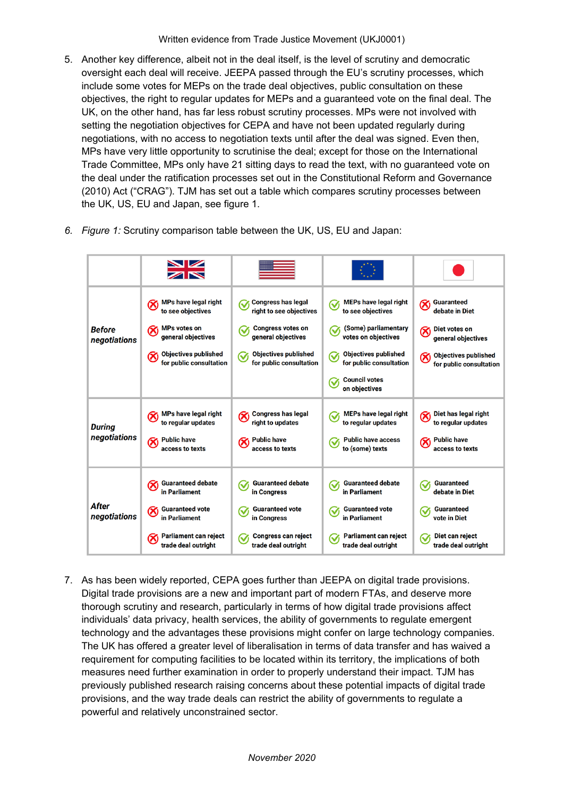5. Another key difference, albeit not in the deal itself, is the level of scrutiny and democratic oversight each deal will receive. JEEPA passed through the EU's scrutiny processes, which include some votes for MEPs on the trade deal objectives, public consultation on these objectives, the right to regular updates for MEPs and a guaranteed vote on the final deal. The UK, on the other hand, has far less robust scrutiny processes. MPs were not involved with setting the negotiation objectives for CEPA and have not been updated regularly during negotiations, with no access to negotiation texts until after the deal was signed. Even then, MPs have very little opportunity to scrutinise the deal; except for those on the International Trade Committee, MPs only have 21 sitting days to read the text, with no guaranteed vote on the deal under the ratification processes set out in the Constitutional Reform and Governance (2010) Act ("CRAG"). TJM has set out a table which compares scrutiny processes between the UK, US, EU and Japan, see figure 1.

|                               | XK                                                                         |                                                                        |                                                                        |                                                        |
|-------------------------------|----------------------------------------------------------------------------|------------------------------------------------------------------------|------------------------------------------------------------------------|--------------------------------------------------------|
| <b>Before</b><br>negotiations | <b>MPs have legal right</b><br>∞<br>to see objectives                      | <b>Congress has legal</b><br>right to see objectives                   | <b>MEPs have legal right</b><br>✓<br>to see objectives                 | <b>Guaranteed</b><br>⊗<br>debate in Diet               |
|                               | <b>MPs votes on</b><br>⊗<br>general objectives                             | <b>Congress votes on</b><br>✓<br>general objectives                    | (Some) parliamentary<br>✓<br>votes on objectives                       | Diet votes on<br>⊗<br>general objectives               |
|                               | <b>Objectives published</b><br>⊗<br>for public consultation                | <b>Objectives published</b><br>$\checkmark$<br>for public consultation | <b>Objectives published</b><br>$\checkmark$<br>for public consultation | <b>Objectives published</b><br>for public consultation |
|                               |                                                                            |                                                                        | <b>Council votes</b><br>∾<br>on objectives                             |                                                        |
| <b>During</b><br>negotiations | MPs have legal right<br>to regular updates                                 | <b>Congress has legal</b><br>$\infty$<br>right to updates              | <b>MEPs have legal right</b><br>∾<br>to regular updates                | Diet has legal right<br>to regular updates             |
|                               | <b>Public have</b><br>⊗<br>access to texts                                 | <b>Public have</b><br>access to texts                                  | <b>Public have access</b><br>✓<br>to (some) texts                      | <b>Public have</b><br>access to texts                  |
| After<br>negotiations         | <b>Guaranteed debate</b><br>Ø<br>in Parliament                             | <b>Guaranteed debate</b><br>∾<br>in Congress                           | <b>Guaranteed debate</b><br>Ñ<br>in Parliament                         | <b>Guaranteed</b><br>◡<br>debate in Diet               |
|                               | <b>Guaranteed vote</b><br>⊗<br>in Parliament                               | <b>Guaranteed vote</b><br>≪<br>in Congress                             | <b>Guaranteed vote</b><br>∾<br>in Parliament                           | <b>Guaranteed</b><br>✓<br>vote in Diet                 |
|                               | Parliament can reject<br>$\boldsymbol{\varnothing}$<br>trade deal outright | <b>Congress can reject</b><br>V<br>trade deal outright                 | Parliament can reject<br>✓<br>trade deal outright                      | Diet can reject<br>V<br>trade deal outright            |

*6. Figure 1:* Scrutiny comparison table between the UK, US, EU and Japan:

7. As has been widely reported, CEPA goes further than JEEPA on digital trade provisions. Digital trade provisions are a new and important part of modern FTAs, and deserve more thorough scrutiny and research, particularly in terms of how digital trade provisions affect individuals' data privacy, health services, the ability of governments to regulate emergent technology and the advantages these provisions might confer on large technology companies. The UK has offered a greater level of liberalisation in terms of data transfer and has waived a requirement for computing facilities to be located within its territory, the implications of both measures need further examination in order to properly understand their impact. TJM has previously published research raising concerns about these potential impacts of digital trade provisions, and the way trade deals can restrict the ability of governments to regulate a powerful and relatively unconstrained sector.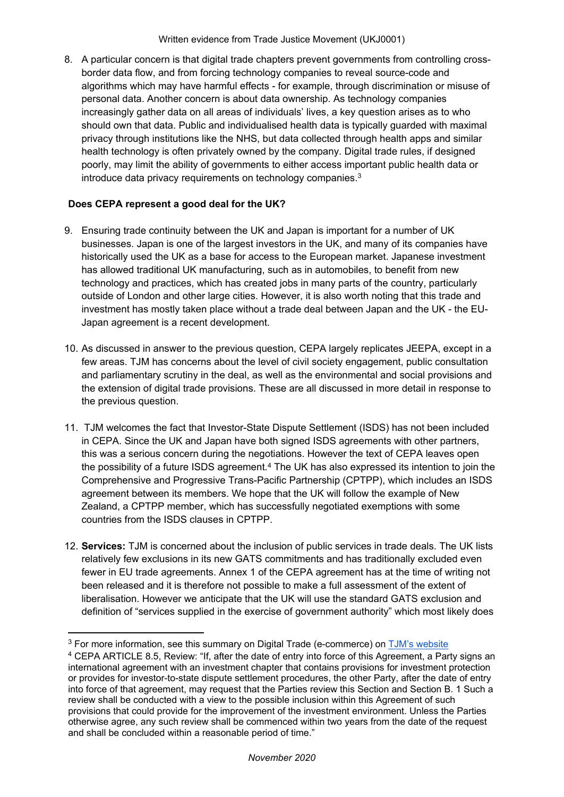8. A particular concern is that digital trade chapters prevent governments from controlling crossborder data flow, and from forcing technology companies to reveal source-code and algorithms which may have harmful effects - for example, through discrimination or misuse of personal data. Another concern is about data ownership. As technology companies increasingly gather data on all areas of individuals' lives, a key question arises as to who should own that data. Public and individualised health data is typically guarded with maximal privacy through institutions like the NHS, but data collected through health apps and similar health technology is often privately owned by the company. Digital trade rules, if designed poorly, may limit the ability of governments to either access important public health data or introduce data privacy requirements on technology companies.<sup>3</sup>

# **Does CEPA represent a good deal for the UK?**

- 9. Ensuring trade continuity between the UK and Japan is important for a number of UK businesses. Japan is one of the largest investors in the UK, and many of its companies have historically used the UK as a base for access to the European market. Japanese investment has allowed traditional UK manufacturing, such as in automobiles, to benefit from new technology and practices, which has created jobs in many parts of the country, particularly outside of London and other large cities. However, it is also worth noting that this trade and investment has mostly taken place without a trade deal between Japan and the UK - the EU-Japan agreement is a recent development.
- 10. As discussed in answer to the previous question, CEPA largely replicates JEEPA, except in a few areas. TJM has concerns about the level of civil society engagement, public consultation and parliamentary scrutiny in the deal, as well as the environmental and social provisions and the extension of digital trade provisions. These are all discussed in more detail in response to the previous question.
- 11. TJM welcomes the fact that Investor-State Dispute Settlement (ISDS) has not been included in CEPA. Since the UK and Japan have both signed ISDS agreements with other partners, this was a serious concern during the negotiations. However the text of CEPA leaves open the possibility of a future ISDS agreement.<sup>4</sup> The UK has also expressed its intention to join the Comprehensive and Progressive Trans-Pacific Partnership (CPTPP), which includes an ISDS agreement between its members. We hope that the UK will follow the example of New Zealand, a CPTPP member, which has successfully negotiated exemptions with some countries from the ISDS clauses in CPTPP.
- 12. **Services:** TJM is concerned about the inclusion of public services in trade deals. The UK lists relatively few exclusions in its new GATS commitments and has traditionally excluded even fewer in EU trade agreements. Annex 1 of the CEPA agreement has at the time of writing not been released and it is therefore not possible to make a full assessment of the extent of liberalisation. However we anticipate that the UK will use the standard GATS exclusion and definition of "services supplied in the exercise of government authority" which most likely does

<sup>&</sup>lt;sup>3</sup> For more information, see this summary on Digital Trade (e-commerce) on **[TJM's](https://www.tjm.org.uk/trade-issues/digital-trade-e-commerce)** [website](https://www.tjm.org.uk/trade-issues/digital-trade-e-commerce)

<sup>4</sup> CEPA ARTICLE 8.5, Review: "If, after the date of entry into force of this Agreement, a Party signs an international agreement with an investment chapter that contains provisions for investment protection or provides for investor-to-state dispute settlement procedures, the other Party, after the date of entry into force of that agreement, may request that the Parties review this Section and Section B. 1 Such a review shall be conducted with a view to the possible inclusion within this Agreement of such provisions that could provide for the improvement of the investment environment. Unless the Parties otherwise agree, any such review shall be commenced within two years from the date of the request and shall be concluded within a reasonable period of time."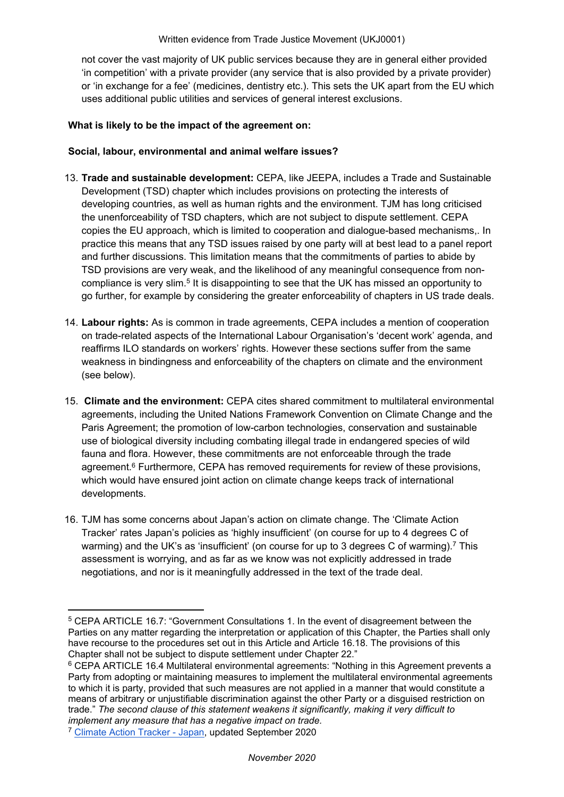not cover the vast majority of UK public services because they are in general either provided 'in competition' with a private provider (any service that is also provided by a private provider) or 'in exchange for a fee' (medicines, dentistry etc.). This sets the UK apart from the EU which uses additional public utilities and services of general interest exclusions.

#### **What is likely to be the impact of the agreement on:**

#### **Social, labour, environmental and animal welfare issues?**

- 13. **Trade and sustainable development:** CEPA, like JEEPA, includes a Trade and Sustainable Development (TSD) chapter which includes provisions on protecting the interests of developing countries, as well as human rights and the environment. TJM has long criticised the unenforceability of TSD chapters, which are not subject to dispute settlement. CEPA copies the EU approach, which is limited to cooperation and dialogue-based mechanisms,. In practice this means that any TSD issues raised by one party will at best lead to a panel report and further discussions. This limitation means that the commitments of parties to abide by TSD provisions are very weak, and the likelihood of any meaningful consequence from noncompliance is very slim.<sup>5</sup> It is disappointing to see that the UK has missed an opportunity to go further, for example by considering the greater enforceability of chapters in US trade deals.
- 14. **Labour rights:** As is common in trade agreements, CEPA includes a mention of cooperation on trade-related aspects of the International Labour Organisation's 'decent work' agenda, and reaffirms ILO standards on workers' rights. However these sections suffer from the same weakness in bindingness and enforceability of the chapters on climate and the environment (see below).
- 15. **Climate and the environment:** CEPA cites shared commitment to multilateral environmental agreements, including the United Nations Framework Convention on Climate Change and the Paris Agreement; the promotion of low-carbon technologies, conservation and sustainable use of biological diversity including combating illegal trade in endangered species of wild fauna and flora. However, these commitments are not enforceable through the trade agreement.<sup>6</sup> Furthermore, CEPA has removed requirements for review of these provisions, which would have ensured joint action on climate change keeps track of international developments.
- 16. TJM has some concerns about Japan's action on climate change. The 'Climate Action Tracker' rates Japan's policies as 'highly insufficient' (on course for up to 4 degrees C of warming) and the UK's as 'insufficient' (on course for up to 3 degrees C of warming).<sup>7</sup> This assessment is worrying, and as far as we know was not explicitly addressed in trade negotiations, and nor is it meaningfully addressed in the text of the trade deal.

<sup>5</sup> CEPA ARTICLE 16.7: "Government Consultations 1. In the event of disagreement between the Parties on any matter regarding the interpretation or application of this Chapter, the Parties shall only have recourse to the procedures set out in this Article and Article 16.18. The provisions of this Chapter shall not be subject to dispute settlement under Chapter 22."

<sup>&</sup>lt;sup>6</sup> CEPA ARTICLE 16.4 Multilateral environmental agreements: "Nothing in this Agreement prevents a Party from adopting or maintaining measures to implement the multilateral environmental agreements to which it is party, provided that such measures are not applied in a manner that would constitute a means of arbitrary or unjustifiable discrimination against the other Party or a disguised restriction on trade." *The second clause of this statement weakens it significantly, making it very difficult to implement any measure that has a negative impact on trade.*

<sup>7</sup> [Climate](https://climateactiontracker.org/countries/japan/) [Action](https://climateactiontracker.org/countries/japan/) [Tracker](https://climateactiontracker.org/countries/japan/) [-](https://climateactiontracker.org/countries/japan/) [Japan,](https://climateactiontracker.org/countries/japan/) updated September 2020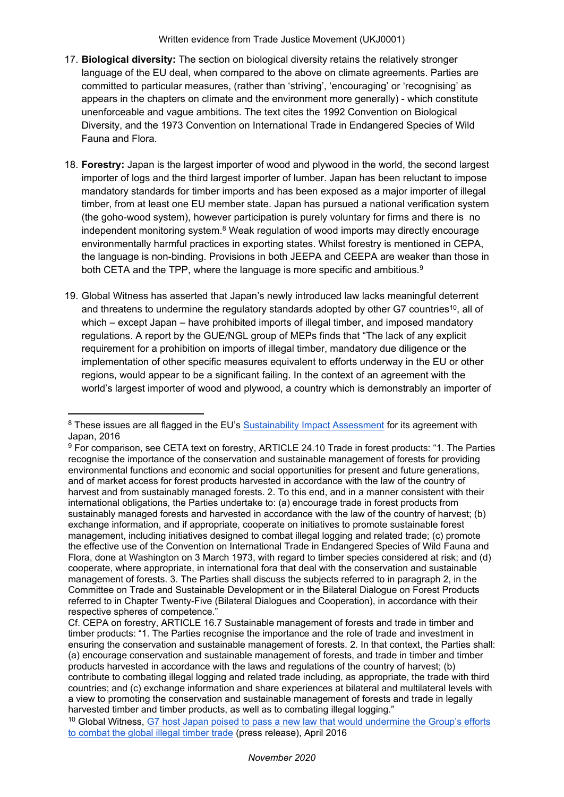Written evidence from Trade Justice Movement (UKJ0001)

- 17. **Biological diversity:** The section on biological diversity retains the relatively stronger language of the EU deal, when compared to the above on climate agreements. Parties are committed to particular measures, (rather than 'striving', 'encouraging' or 'recognising' as appears in the chapters on climate and the environment more generally) - which constitute unenforceable and vague ambitions. The text cites the 1992 Convention on Biological Diversity, and the 1973 Convention on International Trade in Endangered Species of Wild Fauna and Flora.
- 18. **Forestry:** Japan is the largest importer of wood and plywood in the world, the second largest importer of logs and the third largest importer of lumber. Japan has been reluctant to impose mandatory standards for timber imports and has been exposed as a major importer of illegal timber, from at least one EU member state. Japan has pursued a national verification system (the goho-wood system), however participation is purely voluntary for firms and there is no independent monitoring system. $8$  Weak regulation of wood imports may directly encourage environmentally harmful practices in exporting states. Whilst forestry is mentioned in CEPA, the language is non-binding. Provisions in both JEEPA and CEEPA are weaker than those in both CETA and the TPP, where the language is more specific and ambitious.<sup>9</sup>
- 19. Global Witness has asserted that Japan's newly introduced law lacks meaningful deterrent and threatens to undermine the regulatory standards adopted by other G7 countries<sup>10</sup>, all of which – except Japan – have prohibited imports of illegal timber, and imposed mandatory regulations. A report by the GUE/NGL group of MEPs finds that "The lack of any explicit requirement for a prohibition on imports of illegal timber, mandatory due diligence or the implementation of other specific measures equivalent to efforts underway in the EU or other regions, would appear to be a significant failing. In the context of an agreement with the world's largest importer of wood and plywood, a country which is demonstrably an importer of

<sup>10</sup> Global Witness, [G7](https://www.globalwitness.org/en/press-releases/g7-host-japan-poised-pass-new-law-would-undermine-groups-efforts-combat-global-illegal-timber-trade/) [host](https://www.globalwitness.org/en/press-releases/g7-host-japan-poised-pass-new-law-would-undermine-groups-efforts-combat-global-illegal-timber-trade/) [Japan](https://www.globalwitness.org/en/press-releases/g7-host-japan-poised-pass-new-law-would-undermine-groups-efforts-combat-global-illegal-timber-trade/) [poised](https://www.globalwitness.org/en/press-releases/g7-host-japan-poised-pass-new-law-would-undermine-groups-efforts-combat-global-illegal-timber-trade/) [to](https://www.globalwitness.org/en/press-releases/g7-host-japan-poised-pass-new-law-would-undermine-groups-efforts-combat-global-illegal-timber-trade/) [pass](https://www.globalwitness.org/en/press-releases/g7-host-japan-poised-pass-new-law-would-undermine-groups-efforts-combat-global-illegal-timber-trade/) [a](https://www.globalwitness.org/en/press-releases/g7-host-japan-poised-pass-new-law-would-undermine-groups-efforts-combat-global-illegal-timber-trade/) [new](https://www.globalwitness.org/en/press-releases/g7-host-japan-poised-pass-new-law-would-undermine-groups-efforts-combat-global-illegal-timber-trade/) [law](https://www.globalwitness.org/en/press-releases/g7-host-japan-poised-pass-new-law-would-undermine-groups-efforts-combat-global-illegal-timber-trade/) [that](https://www.globalwitness.org/en/press-releases/g7-host-japan-poised-pass-new-law-would-undermine-groups-efforts-combat-global-illegal-timber-trade/) [would](https://www.globalwitness.org/en/press-releases/g7-host-japan-poised-pass-new-law-would-undermine-groups-efforts-combat-global-illegal-timber-trade/) [undermine](https://www.globalwitness.org/en/press-releases/g7-host-japan-poised-pass-new-law-would-undermine-groups-efforts-combat-global-illegal-timber-trade/) [the](https://www.globalwitness.org/en/press-releases/g7-host-japan-poised-pass-new-law-would-undermine-groups-efforts-combat-global-illegal-timber-trade/) [Group's](https://www.globalwitness.org/en/press-releases/g7-host-japan-poised-pass-new-law-would-undermine-groups-efforts-combat-global-illegal-timber-trade/) [efforts](https://www.globalwitness.org/en/press-releases/g7-host-japan-poised-pass-new-law-would-undermine-groups-efforts-combat-global-illegal-timber-trade/) [to](https://www.globalwitness.org/en/press-releases/g7-host-japan-poised-pass-new-law-would-undermine-groups-efforts-combat-global-illegal-timber-trade/) [combat](https://www.globalwitness.org/en/press-releases/g7-host-japan-poised-pass-new-law-would-undermine-groups-efforts-combat-global-illegal-timber-trade/) [the](https://www.globalwitness.org/en/press-releases/g7-host-japan-poised-pass-new-law-would-undermine-groups-efforts-combat-global-illegal-timber-trade/) [global](https://www.globalwitness.org/en/press-releases/g7-host-japan-poised-pass-new-law-would-undermine-groups-efforts-combat-global-illegal-timber-trade/) [illegal](https://www.globalwitness.org/en/press-releases/g7-host-japan-poised-pass-new-law-would-undermine-groups-efforts-combat-global-illegal-timber-trade/) [timber](https://www.globalwitness.org/en/press-releases/g7-host-japan-poised-pass-new-law-would-undermine-groups-efforts-combat-global-illegal-timber-trade/) [trade](https://www.globalwitness.org/en/press-releases/g7-host-japan-poised-pass-new-law-would-undermine-groups-efforts-combat-global-illegal-timber-trade/) (press release), April 2016

<sup>&</sup>lt;sup>8</sup> These issues are all flagged in the EU's [Sustainability](http://trade.ec.europa.eu/doclib/docs/2016/may/tradoc_154522.pdf) [Impact](http://trade.ec.europa.eu/doclib/docs/2016/may/tradoc_154522.pdf) [Assessment](http://trade.ec.europa.eu/doclib/docs/2016/may/tradoc_154522.pdf) for its agreement with Japan, 2016

<sup>9</sup> For comparison, see CETA text on forestry, ARTICLE 24.10 Trade in forest products: "1. The Parties recognise the importance of the conservation and sustainable management of forests for providing environmental functions and economic and social opportunities for present and future generations, and of market access for forest products harvested in accordance with the law of the country of harvest and from sustainably managed forests. 2. To this end, and in a manner consistent with their international obligations, the Parties undertake to: (a) encourage trade in forest products from sustainably managed forests and harvested in accordance with the law of the country of harvest; (b) exchange information, and if appropriate, cooperate on initiatives to promote sustainable forest management, including initiatives designed to combat illegal logging and related trade; (c) promote the effective use of the Convention on International Trade in Endangered Species of Wild Fauna and Flora, done at Washington on 3 March 1973, with regard to timber species considered at risk; and (d) cooperate, where appropriate, in international fora that deal with the conservation and sustainable management of forests. 3. The Parties shall discuss the subjects referred to in paragraph 2, in the Committee on Trade and Sustainable Development or in the Bilateral Dialogue on Forest Products referred to in Chapter Twenty-Five (Bilateral Dialogues and Cooperation), in accordance with their respective spheres of competence."

Cf. CEPA on forestry, ARTICLE 16.7 Sustainable management of forests and trade in timber and timber products: "1. The Parties recognise the importance and the role of trade and investment in ensuring the conservation and sustainable management of forests. 2. In that context, the Parties shall: (a) encourage conservation and sustainable management of forests, and trade in timber and timber products harvested in accordance with the laws and regulations of the country of harvest; (b) contribute to combating illegal logging and related trade including, as appropriate, the trade with third countries; and (c) exchange information and share experiences at bilateral and multilateral levels with a view to promoting the conservation and sustainable management of forests and trade in legally harvested timber and [t](https://www.globalwitness.org/en/press-releases/g7-host-japan-poised-pass-new-law-would-undermine-groups-efforts-combat-global-illegal-timber-trade/)imber products, a[s](https://www.globalwitness.org/en/press-releases/g7-host-japan-poised-pass-new-law-would-undermine-groups-efforts-combat-global-illegal-timber-trade/) well as [t](https://www.globalwitness.org/en/press-releases/g7-host-japan-poised-pass-new-law-would-undermine-groups-efforts-combat-global-illegal-timber-trade/)o combating illegal logging."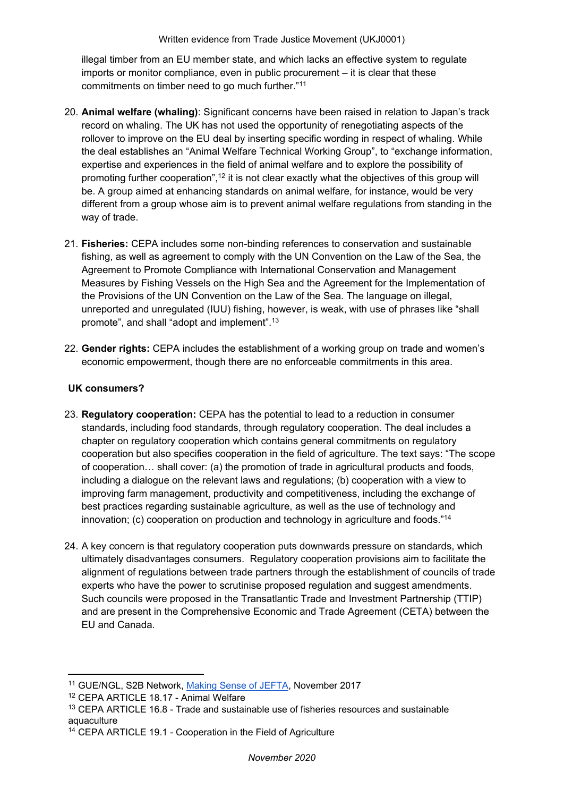Written evidence from Trade Justice Movement (UKJ0001)

illegal timber from an EU member state, and which lacks an effective system to regulate imports or monitor compliance, even in public procurement – it is clear that these commitments on timber need to go much further."<sup>11</sup>

- 20. **Animal welfare (whaling)**: Significant concerns have been raised in relation to Japan's track record on whaling. The UK has not used the opportunity of renegotiating aspects of the rollover to improve on the EU deal by inserting specific wording in respect of whaling. While the deal establishes an "Animal Welfare Technical Working Group", to "exchange information, expertise and experiences in the field of animal welfare and to explore the possibility of promoting further cooperation",<sup>12</sup> it is not clear exactly what the objectives of this group will be. A group aimed at enhancing standards on animal welfare, for instance, would be very different from a group whose aim is to prevent animal welfare regulations from standing in the way of trade.
- 21. **Fisheries:** CEPA includes some non-binding references to conservation and sustainable fishing, as well as agreement to comply with the UN Convention on the Law of the Sea, the Agreement to Promote Compliance with International Conservation and Management Measures by Fishing Vessels on the High Sea and the Agreement for the Implementation of the Provisions of the UN Convention on the Law of the Sea*.* The language on illegal, unreported and unregulated (IUU) fishing, however, is weak, with use of phrases like "shall promote", and shall "adopt and implement".<sup>13</sup>
- 22. **Gender rights:** CEPA includes the establishment of a working group on trade and women's economic empowerment, though there are no enforceable commitments in this area.

## **UK consumers?**

- 23. **Regulatory cooperation:** CEPA has the potential to lead to a reduction in consumer standards, including food standards, through regulatory cooperation. The deal includes a chapter on regulatory cooperation which contains general commitments on regulatory cooperation but also specifies cooperation in the field of agriculture. The text says: "The scope of cooperation… shall cover: (a) the promotion of trade in agricultural products and foods, including a dialogue on the relevant laws and regulations; (b) cooperation with a view to improving farm management, productivity and competitiveness, including the exchange of best practices regarding sustainable agriculture, as well as the use of technology and innovation; (c) cooperation on production and technology in agriculture and foods."<sup>14</sup>
- 24. A key concern is that regulatory cooperation puts downwards pressure on standards, which ultimately disadvantages consumers. Regulatory cooperation provisions aim to facilitate the alignment of regulations between trade partners through the establishment of councils of trade experts who have the power to scrutinise proposed regulation and suggest amendments. Such councils were proposed in the Transatlantic Trade and Investment Partnership (TTIP) and are present in the Comprehensive Economic and Trade Agreement (CETA) between the EU and Canada.

<sup>11</sup> GUE/NGL, S2B Network, [Making](http://s2bnetwork.org/wp-content/uploads/2018/03/JEFTA_report_final_-.pdf) [Sense](http://s2bnetwork.org/wp-content/uploads/2018/03/JEFTA_report_final_-.pdf) [of](http://s2bnetwork.org/wp-content/uploads/2018/03/JEFTA_report_final_-.pdf) [JEFTA,](http://s2bnetwork.org/wp-content/uploads/2018/03/JEFTA_report_final_-.pdf) November 2017

<sup>12</sup> CEPA ARTICLE 18.17 - Animal Welfare

<sup>&</sup>lt;sup>13</sup> CEPA ARTICLE 16.8 - Trade and sustainable use of fisheries resources and sustainable aquaculture

<sup>14</sup> CEPA ARTICLE 19.1 - Cooperation in the Field of Agriculture